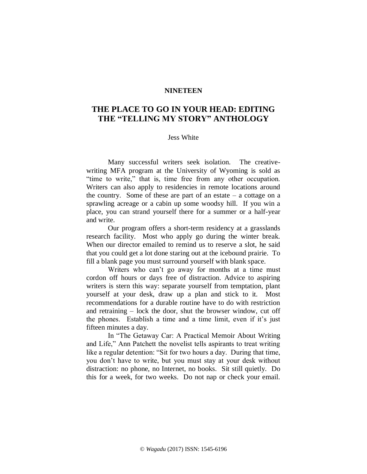## **NINETEEN**

## **THE PLACE TO GO IN YOUR HEAD: EDITING THE "TELLING MY STORY" ANTHOLOGY**

## Jess White

Many successful writers seek isolation. The creativewriting MFA program at the University of Wyoming is sold as "time to write," that is, time free from any other occupation. Writers can also apply to residencies in remote locations around the country. Some of these are part of an estate  $-$  a cottage on a sprawling acreage or a cabin up some woodsy hill. If you win a place, you can strand yourself there for a summer or a half-year and write.

Our program offers a short-term residency at a grasslands research facility. Most who apply go during the winter break. When our director emailed to remind us to reserve a slot, he said that you could get a lot done staring out at the icebound prairie. To fill a blank page you must surround yourself with blank space.

Writers who can't go away for months at a time must cordon off hours or days free of distraction. Advice to aspiring writers is stern this way: separate yourself from temptation, plant yourself at your desk, draw up a plan and stick to it. Most recommendations for a durable routine have to do with restriction and retraining – lock the door, shut the browser window, cut off the phones. Establish a time and a time limit, even if it's just fifteen minutes a day.

In "The Getaway Car: A Practical Memoir About Writing and Life," Ann Patchett the novelist tells aspirants to treat writing like a regular detention: "Sit for two hours a day. During that time, you don't have to write, but you must stay at your desk without distraction: no phone, no Internet, no books. Sit still quietly. Do this for a week, for two weeks. Do not nap or check your email.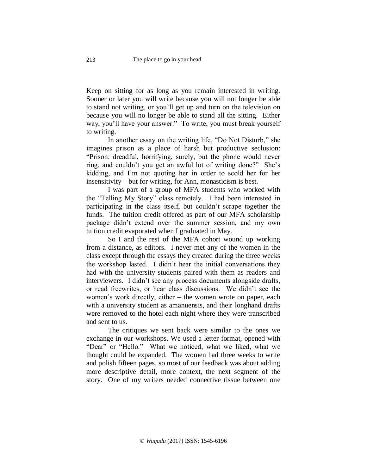Keep on sitting for as long as you remain interested in writing. Sooner or later you will write because you will not longer be able to stand not writing, or you'll get up and turn on the television on because you will no longer be able to stand all the sitting. Either way, you'll have your answer." To write, you must break yourself to writing.

In another essay on the writing life, "Do Not Disturb," she imagines prison as a place of harsh but productive seclusion: "Prison: dreadful, horrifying, surely, but the phone would never ring, and couldn't you get an awful lot of writing done?" She's kidding, and I'm not quoting her in order to scold her for her insensitivity – but for writing, for Ann, monasticism is best.

I was part of a group of MFA students who worked with the "Telling My Story" class remotely. I had been interested in participating in the class itself, but couldn't scrape together the funds. The tuition credit offered as part of our MFA scholarship package didn't extend over the summer session, and my own tuition credit evaporated when I graduated in May.

So I and the rest of the MFA cohort wound up working from a distance, as editors. I never met any of the women in the class except through the essays they created during the three weeks the workshop lasted. I didn't hear the initial conversations they had with the university students paired with them as readers and interviewers. I didn't see any process documents alongside drafts, or read freewrites, or hear class discussions. We didn't see the women's work directly, either – the women wrote on paper, each with a university student as amanuensis, and their longhand drafts were removed to the hotel each night where they were transcribed and sent to us.

The critiques we sent back were similar to the ones we exchange in our workshops. We used a letter format, opened with "Dear" or "Hello." What we noticed, what we liked, what we thought could be expanded. The women had three weeks to write and polish fifteen pages, so most of our feedback was about adding more descriptive detail, more context, the next segment of the story. One of my writers needed connective tissue between one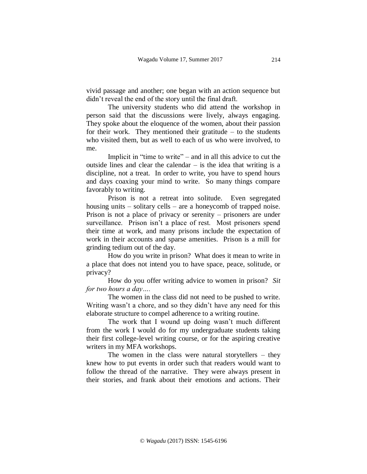vivid passage and another; one began with an action sequence but didn't reveal the end of the story until the final draft.

The university students who did attend the workshop in person said that the discussions were lively, always engaging. They spoke about the eloquence of the women, about their passion for their work. They mentioned their gratitude  $-$  to the students who visited them, but as well to each of us who were involved, to me.

Implicit in "time to write" – and in all this advice to cut the outside lines and clear the calendar – is the idea that writing is a discipline, not a treat. In order to write, you have to spend hours and days coaxing your mind to write. So many things compare favorably to writing.

Prison is not a retreat into solitude. Even segregated housing units – solitary cells – are a honeycomb of trapped noise. Prison is not a place of privacy or serenity – prisoners are under surveillance. Prison isn't a place of rest. Most prisoners spend their time at work, and many prisons include the expectation of work in their accounts and sparse amenities. Prison is a mill for grinding tedium out of the day.

How do you write in prison? What does it mean to write in a place that does not intend you to have space, peace, solitude, or privacy?

How do you offer writing advice to women in prison? *Sit for two hours a day….*

The women in the class did not need to be pushed to write. Writing wasn't a chore, and so they didn't have any need for this elaborate structure to compel adherence to a writing routine.

The work that I wound up doing wasn't much different from the work I would do for my undergraduate students taking their first college-level writing course, or for the aspiring creative writers in my MFA workshops.

The women in the class were natural storytellers – they knew how to put events in order such that readers would want to follow the thread of the narrative. They were always present in their stories, and frank about their emotions and actions. Their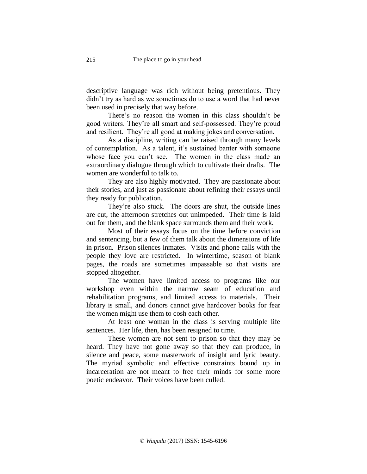descriptive language was rich without being pretentious. They didn't try as hard as we sometimes do to use a word that had never been used in precisely that way before.

There's no reason the women in this class shouldn't be good writers. They're all smart and self-possessed. They're proud and resilient. They're all good at making jokes and conversation.

As a discipline, writing can be raised through many levels of contemplation. As a talent, it's sustained banter with someone whose face you can't see. The women in the class made an extraordinary dialogue through which to cultivate their drafts. The women are wonderful to talk to.

They are also highly motivated. They are passionate about their stories, and just as passionate about refining their essays until they ready for publication.

They're also stuck. The doors are shut, the outside lines are cut, the afternoon stretches out unimpeded. Their time is laid out for them, and the blank space surrounds them and their work.

Most of their essays focus on the time before conviction and sentencing, but a few of them talk about the dimensions of life in prison. Prison silences inmates. Visits and phone calls with the people they love are restricted. In wintertime, season of blank pages, the roads are sometimes impassable so that visits are stopped altogether.

The women have limited access to programs like our workshop even within the narrow seam of education and rehabilitation programs, and limited access to materials. Their library is small, and donors cannot give hardcover books for fear the women might use them to cosh each other.

At least one woman in the class is serving multiple life sentences. Her life, then, has been resigned to time.

These women are not sent to prison so that they may be heard. They have not gone away so that they can produce, in silence and peace, some masterwork of insight and lyric beauty. The myriad symbolic and effective constraints bound up in incarceration are not meant to free their minds for some more poetic endeavor. Their voices have been culled.